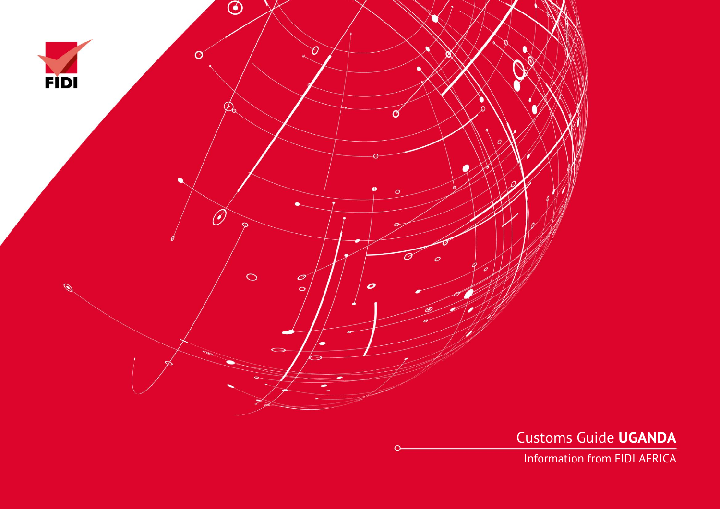

Customs Guide **UGANDA**

Information from FIDI AFRICA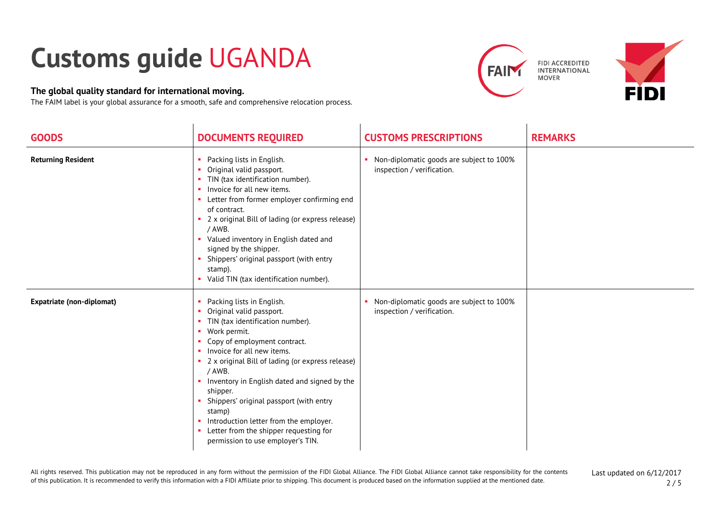## **Customs guide** UGANDA

## **The global quality standard for international moving.**

The FAIM label is your global assurance for a smooth, safe and comprehensive relocation process.





| <b>GOODS</b>                     | <b>DOCUMENTS REQUIRED</b>                                                                                                                                                                                                                                                                                                                                                                                                                                                                            | <b>CUSTOMS PRESCRIPTIONS</b>                                           | <b>REMARKS</b> |
|----------------------------------|------------------------------------------------------------------------------------------------------------------------------------------------------------------------------------------------------------------------------------------------------------------------------------------------------------------------------------------------------------------------------------------------------------------------------------------------------------------------------------------------------|------------------------------------------------------------------------|----------------|
| <b>Returning Resident</b>        | Packing lists in English.<br>п.<br>Original valid passport.<br>• TIN (tax identification number).<br>• Invoice for all new items.<br>• Letter from former employer confirming end<br>of contract.<br>• 2 x original Bill of lading (or express release)<br>/ AWB.<br>• Valued inventory in English dated and<br>signed by the shipper.<br>Shippers' original passport (with entry<br>m.<br>stamp).<br>• Valid TIN (tax identification number).                                                       | Non-diplomatic goods are subject to 100%<br>inspection / verification. |                |
| <b>Expatriate (non-diplomat)</b> | Packing lists in English.<br>Original valid passport.<br>×<br>TIN (tax identification number).<br>• Work permit.<br>Copy of employment contract.<br>a.<br>• Invoice for all new items.<br>2 x original Bill of lading (or express release)<br>/ AWB.<br>• Inventory in English dated and signed by the<br>shipper.<br>Shippers' original passport (with entry<br>stamp)<br>• Introduction letter from the employer.<br>• Letter from the shipper requesting for<br>permission to use employer's TIN. | Non-diplomatic goods are subject to 100%<br>inspection / verification. |                |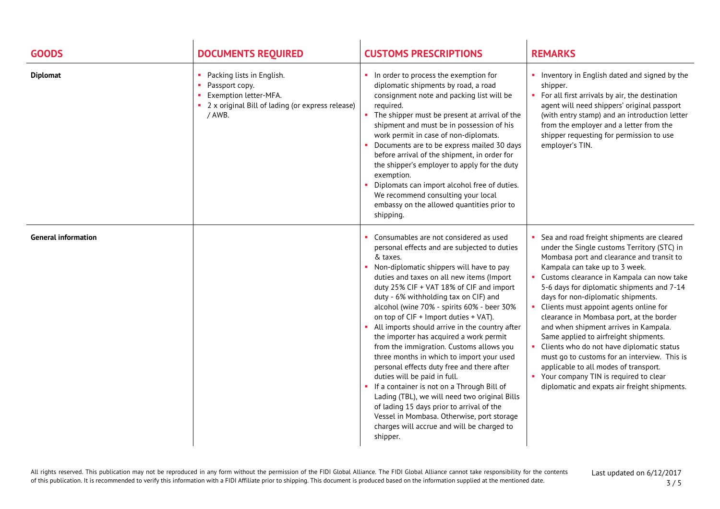| <b>GOODS</b>               | <b>DOCUMENTS REQUIRED</b>                                                                                                          | <b>CUSTOMS PRESCRIPTIONS</b>                                                                                                                                                                                                                                                                                                                                                                                                                                                                                                                                                                                                                                                                                                                                                                                                                                                                    | <b>REMARKS</b>                                                                                                                                                                                                                                                                                                                                                                                                                                                                                                                                                                                                                                                                                                                                                                               |
|----------------------------|------------------------------------------------------------------------------------------------------------------------------------|-------------------------------------------------------------------------------------------------------------------------------------------------------------------------------------------------------------------------------------------------------------------------------------------------------------------------------------------------------------------------------------------------------------------------------------------------------------------------------------------------------------------------------------------------------------------------------------------------------------------------------------------------------------------------------------------------------------------------------------------------------------------------------------------------------------------------------------------------------------------------------------------------|----------------------------------------------------------------------------------------------------------------------------------------------------------------------------------------------------------------------------------------------------------------------------------------------------------------------------------------------------------------------------------------------------------------------------------------------------------------------------------------------------------------------------------------------------------------------------------------------------------------------------------------------------------------------------------------------------------------------------------------------------------------------------------------------|
| <b>Diplomat</b>            | Packing lists in English.<br>Passport copy.<br>Exemption letter-MFA.<br>2 x original Bill of lading (or express release)<br>/ AWB. | In order to process the exemption for<br>diplomatic shipments by road, a road<br>consignment note and packing list will be<br>required.<br>The shipper must be present at arrival of the<br>shipment and must be in possession of his<br>work permit in case of non-diplomats.<br>Documents are to be express mailed 30 days<br>before arrival of the shipment, in order for<br>the shipper's employer to apply for the duty<br>exemption.<br>Diplomats can import alcohol free of duties.<br>We recommend consulting your local<br>embassy on the allowed quantities prior to<br>shipping.                                                                                                                                                                                                                                                                                                     | • Inventory in English dated and signed by the<br>shipper.<br>• For all first arrivals by air, the destination<br>agent will need shippers' original passport<br>(with entry stamp) and an introduction letter<br>from the employer and a letter from the<br>shipper requesting for permission to use<br>employer's TIN.                                                                                                                                                                                                                                                                                                                                                                                                                                                                     |
| <b>General information</b> |                                                                                                                                    | Consumables are not considered as used<br>personal effects and are subjected to duties<br>& taxes.<br>Non-diplomatic shippers will have to pay<br>duties and taxes on all new items (Import<br>duty 25% CIF + VAT 18% of CIF and import<br>duty - 6% withholding tax on CIF) and<br>alcohol (wine 70% - spirits 60% - beer 30%<br>on top of CIF + Import duties + VAT).<br>All imports should arrive in the country after<br>the importer has acquired a work permit<br>from the immigration. Customs allows you<br>three months in which to import your used<br>personal effects duty free and there after<br>duties will be paid in full.<br>If a container is not on a Through Bill of<br>Lading (TBL), we will need two original Bills<br>of lading 15 days prior to arrival of the<br>Vessel in Mombasa. Otherwise, port storage<br>charges will accrue and will be charged to<br>shipper. | Sea and road freight shipments are cleared<br>under the Single customs Territory (STC) in<br>Mombasa port and clearance and transit to<br>Kampala can take up to 3 week.<br>Customs clearance in Kampala can now take<br>$\mathcal{L}_{\rm{max}}$<br>5-6 days for diplomatic shipments and 7-14<br>days for non-diplomatic shipments.<br>Clients must appoint agents online for<br>$\mathcal{L}_{\rm{max}}$<br>clearance in Mombasa port, at the border<br>and when shipment arrives in Kampala.<br>Same applied to airfreight shipments.<br>Clients who do not have diplomatic status<br>$\mathbf{H}$ .<br>must go to customs for an interview. This is<br>applicable to all modes of transport.<br>• Your company TIN is required to clear<br>diplomatic and expats air freight shipments. |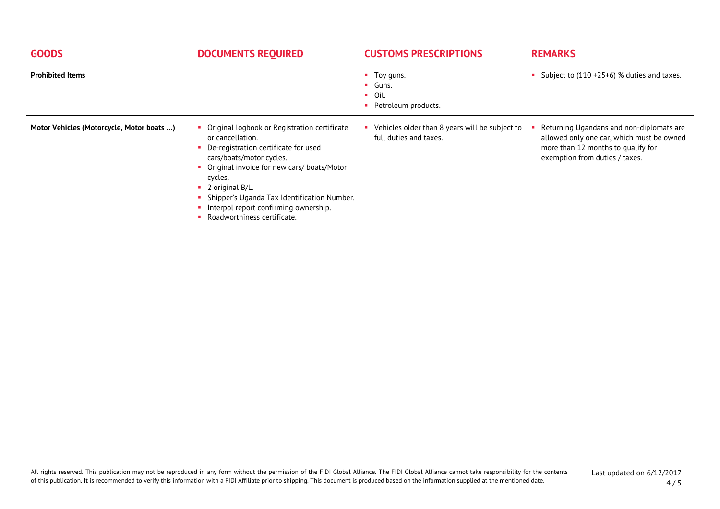| <b>GOODS</b>                              | <b>DOCUMENTS REQUIRED</b>                                                                                                                                                                                                                                                                                                               | <b>CUSTOMS PRESCRIPTIONS</b>                                             | <b>REMARKS</b>                                                                                                                                                |
|-------------------------------------------|-----------------------------------------------------------------------------------------------------------------------------------------------------------------------------------------------------------------------------------------------------------------------------------------------------------------------------------------|--------------------------------------------------------------------------|---------------------------------------------------------------------------------------------------------------------------------------------------------------|
| <b>Prohibited Items</b>                   |                                                                                                                                                                                                                                                                                                                                         | • Toy guns.<br>$\blacksquare$ Guns.<br>Oil.<br>Petroleum products.       | Subject to (110 +25+6) % duties and taxes.                                                                                                                    |
| Motor Vehicles (Motorcycle, Motor boats ) | Original logbook or Registration certificate<br>or cancellation.<br>De-registration certificate for used<br>cars/boats/motor cycles.<br>Original invoice for new cars/ boats/Motor<br>cycles.<br>2 original B/L.<br>Shipper's Uganda Tax Identification Number.<br>Interpol report confirming ownership.<br>Roadworthiness certificate. | Vehicles older than 8 years will be subject to<br>full duties and taxes. | Returning Ugandans and non-diplomats are<br>allowed only one car, which must be owned<br>more than 12 months to qualify for<br>exemption from duties / taxes. |